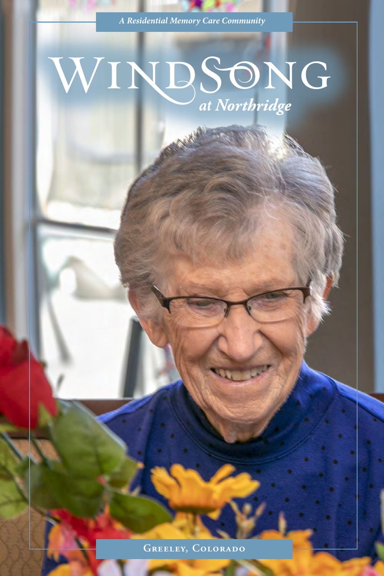*A Residential Memory Care Community*

### WINDSONG at Northridge

**Greeley, Colorado**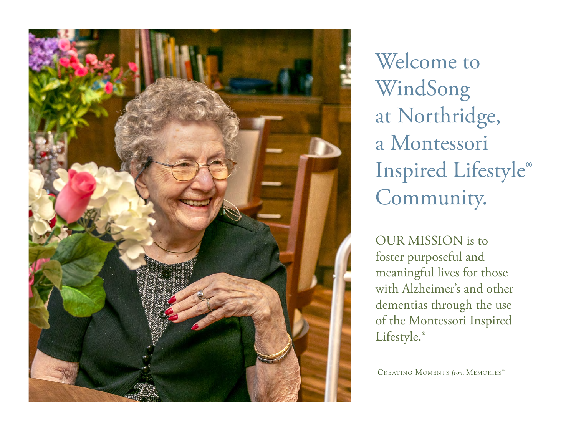

Welcome to WindSong at Northridge, a Montessori Inspired Lifestyle® Community.

OUR MISSION is to foster purposeful and meaningful lives for those with Alzheimer's and other dementias through the use of the Montessori Inspired Lifestyle.<sup>®</sup>

CREATING MOMENTS *from* MEMORIES<sup>TM</sup>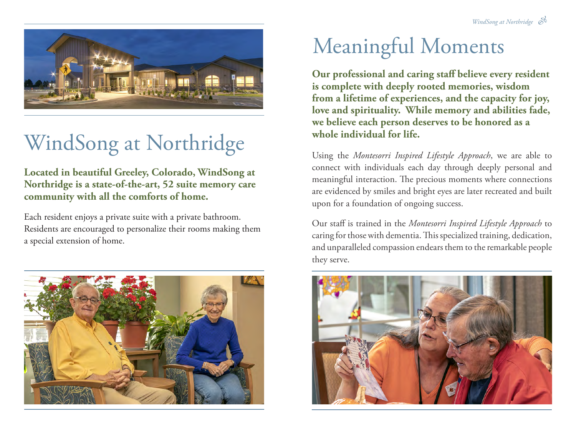

# WindSong at Northridge

**Located in beautiful Greeley, Colorado, WindSong at Northridge is a state-of-the-art, 52 suite memory care community with all the comforts of home.**

Each resident enjoys a private suite with a private bathroom. Residents are encouraged to personalize their rooms making them a special extension of home.



## Meaningful Moments

**Our professional and caring staff believe every resident is complete with deeply rooted memories, wisdom from a lifetime of experiences, and the capacity for joy, love and spirituality. While memory and abilities fade, we believe each person deserves to be honored as a whole individual for life.**

Using the *Montesorri Inspired Lifestyle Approach*, we are able to connect with individuals each day through deeply personal and meaningful interaction. The precious moments where connections are evidenced by smiles and bright eyes are later recreated and built upon for a foundation of ongoing success.

Our staff is trained in the *Montesorri Inspired Lifestyle Approach* to caring for those with dementia. This specialized training, dedication, and unparalleled compassion endears them to the remarkable people they serve.

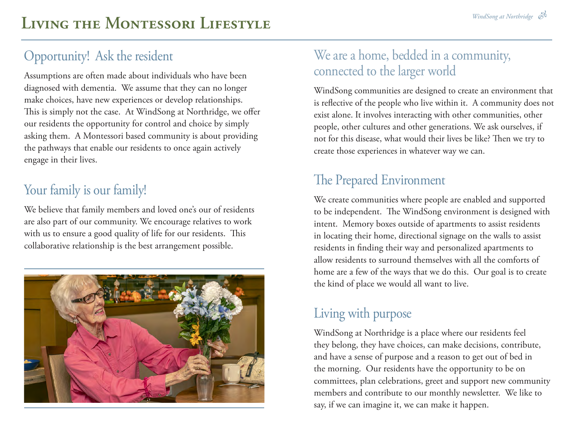#### Opportunity! Ask the resident

Assumptions are often made about individuals who have been diagnosed with dementia. We assume that they can no longer make choices, have new experiences or develop relationships. This is simply not the case. At WindSong at Northridge, we offer our residents the opportunity for control and choice by simply asking them. A Montessori based community is about providing the pathways that enable our residents to once again actively engage in their lives.

#### Your family is our family!

We believe that family members and loved one's our of residents are also part of our community. We encourage relatives to work with us to ensure a good quality of life for our residents. This collaborative relationship is the best arrangement possible.



#### We are a home, bedded in a community, connected to the larger world

WindSong communities are designed to create an environment that is reflective of the people who live within it. A community does not exist alone. It involves interacting with other communities, other people, other cultures and other generations. We ask ourselves, if not for this disease, what would their lives be like? Then we try to create those experiences in whatever way we can.

### The Prepared Environment

We create communities where people are enabled and supported to be independent. The WindSong environment is designed with intent. Memory boxes outside of apartments to assist residents in locating their home, directional signage on the walls to assist residents in finding their way and personalized apartments to allow residents to surround themselves with all the comforts of home are a few of the ways that we do this. Our goal is to create the kind of place we would all want to live.

#### Living with purpose

WindSong at Northridge is a place where our residents feel they belong, they have choices, can make decisions, contribute, and have a sense of purpose and a reason to get out of bed in the morning. Our residents have the opportunity to be on committees, plan celebrations, greet and support new community members and contribute to our monthly newsletter. We like to say, if we can imagine it, we can make it happen.